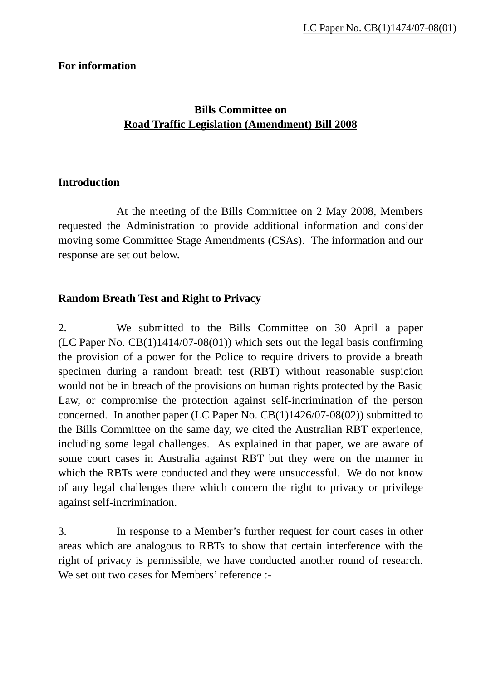### **For information**

### **Bills Committee on Road Traffic Legislation (Amendment) Bill 2008**

#### **Introduction**

 At the meeting of the Bills Committee on 2 May 2008, Members requested the Administration to provide additional information and consider moving some Committee Stage Amendments (CSAs). The information and our response are set out below.

### **Random Breath Test and Right to Privacy**

2. We submitted to the Bills Committee on 30 April a paper (LC Paper No.  $CB(1)1414/07-08(01)$ ) which sets out the legal basis confirming the provision of a power for the Police to require drivers to provide a breath specimen during a random breath test (RBT) without reasonable suspicion would not be in breach of the provisions on human rights protected by the Basic Law, or compromise the protection against self-incrimination of the person concerned. In another paper (LC Paper No. CB(1)1426/07-08(02)) submitted to the Bills Committee on the same day, we cited the Australian RBT experience, including some legal challenges. As explained in that paper, we are aware of some court cases in Australia against RBT but they were on the manner in which the RBTs were conducted and they were unsuccessful. We do not know of any legal challenges there which concern the right to privacy or privilege against self-incrimination.

3. In response to a Member's further request for court cases in other areas which are analogous to RBTs to show that certain interference with the right of privacy is permissible, we have conducted another round of research. We set out two cases for Members' reference :-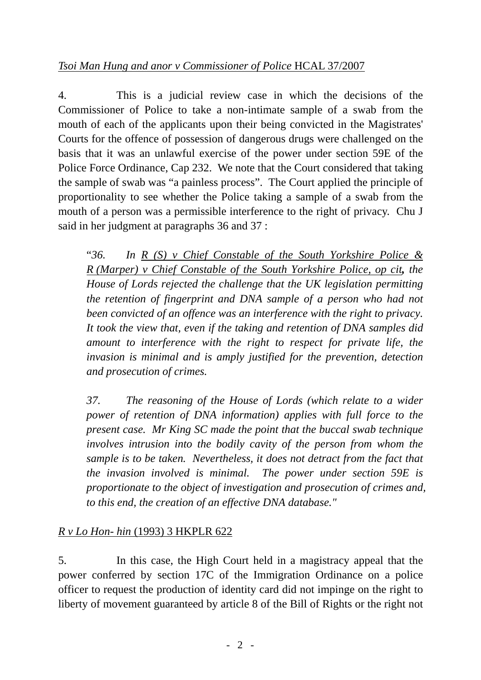4. This is a judicial review case in which the decisions of the Commissioner of Police to take a non-intimate sample of a swab from the mouth of each of the applicants upon their being convicted in the Magistrates' Courts for the offence of possession of dangerous drugs were challenged on the basis that it was an unlawful exercise of the power under section 59E of the Police Force Ordinance, Cap 232. We note that the Court considered that taking the sample of swab was "a painless process". The Court applied the principle of proportionality to see whether the Police taking a sample of a swab from the mouth of a person was a permissible interference to the right of privacy. Chu J said in her judgment at paragraphs 36 and 37 :

"*36. In R (S) v Chief Constable of the South Yorkshire Police & R (Marper) v Chief Constable of the South Yorkshire Police, op cit, the House of Lords rejected the challenge that the UK legislation permitting the retention of fingerprint and DNA sample of a person who had not been convicted of an offence was an interference with the right to privacy. It took the view that, even if the taking and retention of DNA samples did amount to interference with the right to respect for private life, the invasion is minimal and is amply justified for the prevention, detection and prosecution of crimes.*

*37. The reasoning of the House of Lords (which relate to a wider power of retention of DNA information) applies with full force to the present case. Mr King SC made the point that the buccal swab technique involves intrusion into the bodily cavity of the person from whom the sample is to be taken. Nevertheless, it does not detract from the fact that the invasion involved is minimal. The power under section 59E is proportionate to the object of investigation and prosecution of crimes and, to this end, the creation of an effective DNA database."* 

## *R v Lo Hon- hin* (1993) 3 HKPLR 622

5. In this case, the High Court held in a magistracy appeal that the power conferred by section 17C of the Immigration Ordinance on a police officer to request the production of identity card did not impinge on the right to liberty of movement guaranteed by article 8 of the Bill of Rights or the right not